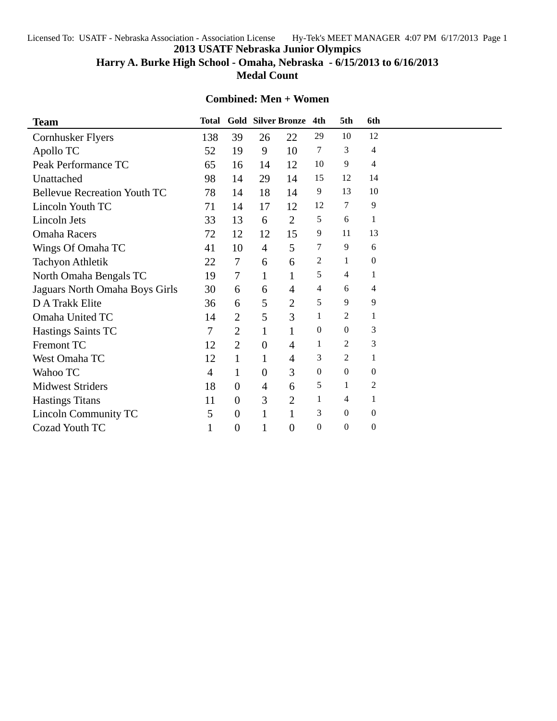Licensed To: USATF - Nebraska Association - Association License Hy-Tek's MEET MANAGER 4:07 PM 6/17/2013 Page 1

**2013 USATF Nebraska Junior Olympics**

**Harry A. Burke High School - Omaha, Nebraska - 6/15/2013 to 6/16/2013**

**Medal Count**

## **Combined: Men + Women**

| <b>Team</b>                         | <b>Total</b> |                |                | <b>Gold Silver Bronze</b> | 4th              | 5th              | 6th              |  |
|-------------------------------------|--------------|----------------|----------------|---------------------------|------------------|------------------|------------------|--|
| Cornhusker Flyers                   | 138          | 39             | 26             | 22                        | 29               | 10               | 12               |  |
| Apollo TC                           | 52           | 19             | 9              | 10                        | 7                | 3                | 4                |  |
| Peak Performance TC                 | 65           | 16             | 14             | 12                        | 10               | 9                | 4                |  |
| Unattached                          | 98           | 14             | 29             | 14                        | 15               | 12               | 14               |  |
| <b>Bellevue Recreation Youth TC</b> | 78           | 14             | 18             | 14                        | 9                | 13               | 10               |  |
| Lincoln Youth TC                    | 71           | 14             | 17             | 12                        | 12               | 7                | 9                |  |
| Lincoln Jets                        | 33           | 13             | 6              | $\overline{2}$            | 5                | 6                | 1                |  |
| <b>Omaha Racers</b>                 | 72           | 12             | 12             | 15                        | 9                | 11               | 13               |  |
| Wings Of Omaha TC                   | 41           | 10             | $\overline{4}$ | 5                         | 7                | 9                | 6                |  |
| <b>Tachyon Athletik</b>             | 22           | $\tau$         | 6              | 6                         | 2                | 1                | $\boldsymbol{0}$ |  |
| North Omaha Bengals TC              | 19           | $\overline{7}$ | $\mathbf{1}$   | $\mathbf{1}$              | 5                | 4                | 1                |  |
| Jaguars North Omaha Boys Girls      | 30           | 6              | 6              | 4                         | 4                | 6                | 4                |  |
| D A Trakk Elite                     | 36           | 6              | 5              | $\overline{2}$            | 5                | 9                | 9                |  |
| Omaha United TC                     | 14           | $\overline{2}$ | 5              | 3                         | 1                | 2                | 1                |  |
| <b>Hastings Saints TC</b>           | 7            | $\overline{2}$ | $\mathbf{1}$   | $\mathbf{1}$              | $\overline{0}$   | $\overline{0}$   | 3                |  |
| Fremont TC                          | 12           | $\overline{2}$ | $\overline{0}$ | 4                         | 1                | $\overline{c}$   | 3                |  |
| West Omaha TC                       | 12           | $\mathbf{1}$   | 1              | 4                         | 3                | 2                | $\mathbf{1}$     |  |
| Wahoo TC                            | 4            | $\mathbf{1}$   | $\overline{0}$ | 3                         | $\theta$         | $\overline{0}$   | $\boldsymbol{0}$ |  |
| <b>Midwest Striders</b>             | 18           | $\theta$       | $\overline{4}$ | 6                         | 5                | 1                | $\overline{c}$   |  |
| <b>Hastings Titans</b>              | 11           | $\theta$       | 3              | $\overline{2}$            | 1                | 4                | $\mathbf{1}$     |  |
| <b>Lincoln Community TC</b>         | 5            | $\overline{0}$ | $\mathbf{1}$   |                           | 3                | $\overline{0}$   | $\boldsymbol{0}$ |  |
| Cozad Youth TC                      | 1            | $\theta$       | 1              | $\overline{0}$            | $\boldsymbol{0}$ | $\boldsymbol{0}$ | $\boldsymbol{0}$ |  |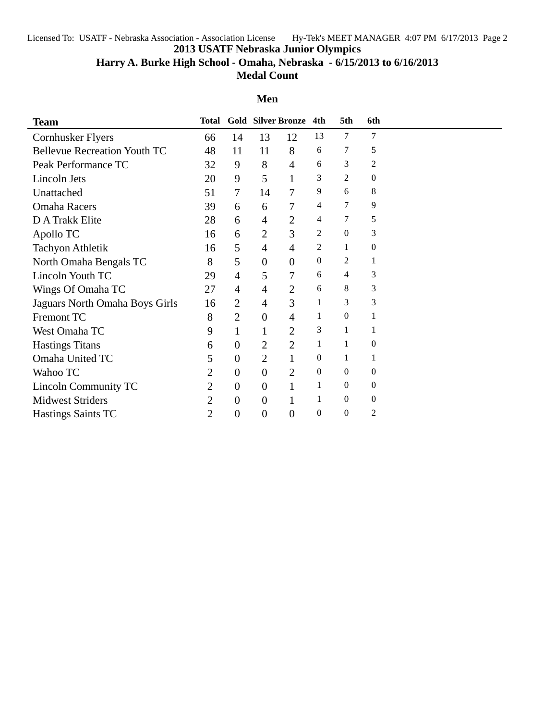Licensed To: USATF - Nebraska Association - Association License Hy-Tek's MEET MANAGER 4:07 PM 6/17/2013 Page 2

**2013 USATF Nebraska Junior Olympics**

**Harry A. Burke High School - Omaha, Nebraska - 6/15/2013 to 6/16/2013**

**Medal Count**

## **Men**

| <b>Team</b>                         | Total          |                          |                  | <b>Gold Silver Bronze</b> | 4th              | 5th              | 6th              |  |
|-------------------------------------|----------------|--------------------------|------------------|---------------------------|------------------|------------------|------------------|--|
| <b>Cornhusker Flyers</b>            | 66             | 14                       | 13               | 12                        | 13               | 7                | 7                |  |
| <b>Bellevue Recreation Youth TC</b> | 48             | 11                       | 11               | 8                         | 6                | 7                | 5                |  |
| Peak Performance TC                 | 32             | 9                        | 8                | $\overline{4}$            | 6                | 3                | $\overline{c}$   |  |
| Lincoln Jets                        | 20             | 9                        | 5                | 1                         | 3                | $\overline{2}$   | $\boldsymbol{0}$ |  |
| Unattached                          | 51             | $\overline{\mathcal{L}}$ | 14               | 7                         | 9                | 6                | 8                |  |
| <b>Omaha Racers</b>                 | 39             | 6                        | 6                | 7                         | 4                | 7                | 9                |  |
| D A Trakk Elite                     | 28             | 6                        | 4                | $\overline{2}$            | 4                | 7                | 5                |  |
| Apollo TC                           | 16             | 6                        | 2                | 3                         | $\overline{c}$   | $\mathbf{0}$     | 3                |  |
| <b>Tachyon Athletik</b>             | 16             | 5                        | $\overline{4}$   | $\overline{4}$            | $\overline{c}$   | 1                | $\boldsymbol{0}$ |  |
| North Omaha Bengals TC              | 8              | 5                        | $\boldsymbol{0}$ | $\theta$                  | $\boldsymbol{0}$ | 2                | 1                |  |
| Lincoln Youth TC                    | 29             | $\overline{4}$           | 5                | 7                         | 6                | 4                | 3                |  |
| Wings Of Omaha TC                   | 27             | $\overline{4}$           | $\overline{4}$   | $\overline{2}$            | 6                | 8                | 3                |  |
| Jaguars North Omaha Boys Girls      | 16             | $\overline{2}$           | 4                | 3                         | 1                | 3                | 3                |  |
| Fremont TC                          | 8              | $\overline{2}$           | $\theta$         | $\overline{4}$            | 1                | $\theta$         | 1                |  |
| West Omaha TC                       | 9              | $\mathbf 1$              | 1                | $\overline{2}$            | 3                | 1                |                  |  |
| <b>Hastings Titans</b>              | 6              | $\theta$                 | 2                | $\overline{2}$            | 1                | 1                | $\theta$         |  |
| Omaha United TC                     | 5              | $\theta$                 | $\overline{2}$   | 1                         | $\boldsymbol{0}$ | 1                | 1                |  |
| Wahoo TC                            | 2              | $\mathbf{0}$             | $\boldsymbol{0}$ | $\overline{2}$            | $\Omega$         | $\theta$         | $\overline{0}$   |  |
| <b>Lincoln Community TC</b>         | $\overline{2}$ | $\mathbf{0}$             | $\theta$         | 1                         | 1                | $\mathbf{0}$     | $\boldsymbol{0}$ |  |
| <b>Midwest Striders</b>             | 2              | $\theta$                 | $\theta$         | 1                         | 1                | $\boldsymbol{0}$ | $\boldsymbol{0}$ |  |
| <b>Hastings Saints TC</b>           | 2              | $\theta$                 | 0                | $\overline{0}$            | $\boldsymbol{0}$ | $\mathbf{0}$     | $\sqrt{2}$       |  |